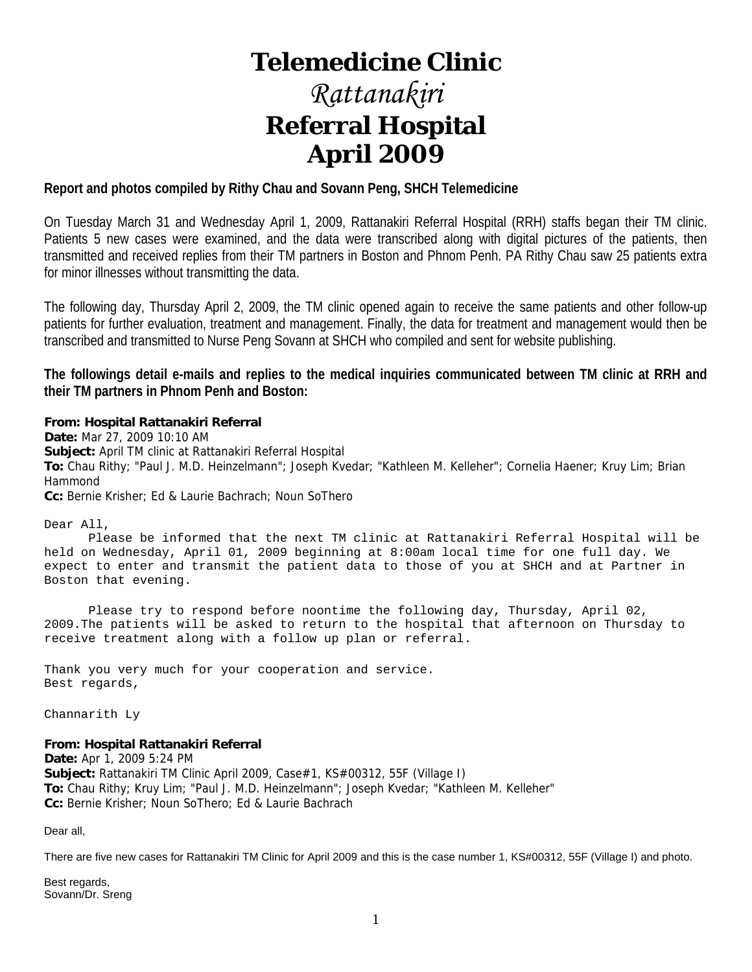# **Telemedicine Clinic**

# *Rattanakiri*  **Referral Hospital April 2009**

#### **Report and photos compiled by Rithy Chau and Sovann Peng, SHCH Telemedicine**

On Tuesday March 31 and Wednesday April 1, 2009, Rattanakiri Referral Hospital (RRH) staffs began their TM clinic. Patients 5 new cases were examined, and the data were transcribed along with digital pictures of the patients, then transmitted and received replies from their TM partners in Boston and Phnom Penh. PA Rithy Chau saw 25 patients extra for minor illnesses without transmitting the data.

The following day, Thursday April 2, 2009, the TM clinic opened again to receive the same patients and other follow-up patients for further evaluation, treatment and management. Finally, the data for treatment and management would then be transcribed and transmitted to Nurse Peng Sovann at SHCH who compiled and sent for website publishing.

**The followings detail e-mails and replies to the medical inquiries communicated between TM clinic at RRH and their TM partners in Phnom Penh and Boston:** 

#### **From: Hospital Rattanakiri Referral**

**Date:** Mar 27, 2009 10:10 AM **Subject:** April TM clinic at Rattanakiri Referral Hospital **To:** Chau Rithy; "Paul J. M.D. Heinzelmann"; Joseph Kvedar; "Kathleen M. Kelleher"; Cornelia Haener; Kruy Lim; Brian Hammond **Cc:** Bernie Krisher; Ed & Laurie Bachrach; Noun SoThero

Dear All,

 Please be informed that the next TM clinic at Rattanakiri Referral Hospital will be held on Wednesday, April 01, 2009 beginning at 8:00am local time for one full day. We expect to enter and transmit the patient data to those of you at SHCH and at Partner in Boston that evening.

 Please try to respond before noontime the following day, Thursday, April 02, 2009.The patients will be asked to return to the hospital that afternoon on Thursday to receive treatment along with a follow up plan or referral.

Thank you very much for your cooperation and service. Best regards,

Channarith Ly

**From: Hospital Rattanakiri Referral**

**Date:** Apr 1, 2009 5:24 PM **Subject:** Rattanakiri TM Clinic April 2009, Case#1, KS#00312, 55F (Village I) **To:** Chau Rithy; Kruy Lim; "Paul J. M.D. Heinzelmann"; Joseph Kvedar; "Kathleen M. Kelleher" **Cc:** Bernie Krisher; Noun SoThero; Ed & Laurie Bachrach

Dear all,

There are five new cases for Rattanakiri TM Clinic for April 2009 and this is the case number 1, KS#00312, 55F (Village I) and photo.

Best regards, Sovann/Dr. Sreng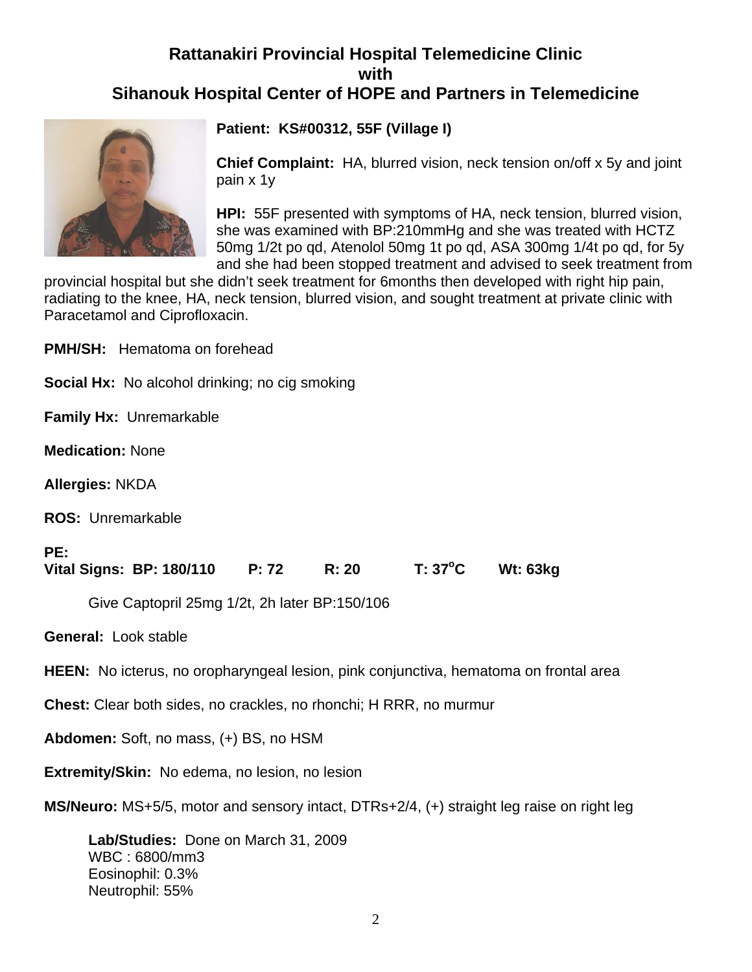## **Rattanakiri Provincial Hospital Telemedicine Clinic with Sihanouk Hospital Center of HOPE and Partners in Telemedicine**



**Patient: KS#00312, 55F (Village I)**

**Chief Complaint:** HA, blurred vision, neck tension on/off x 5y and joint pain x 1y

**HPI:** 55F presented with symptoms of HA, neck tension, blurred vision, she was examined with BP:210mmHg and she was treated with HCTZ 50mg 1/2t po qd, Atenolol 50mg 1t po qd, ASA 300mg 1/4t po qd, for 5y and she had been stopped treatment and advised to seek treatment from

provincial hospital but she didn't seek treatment for 6months then developed with right hip pain, radiating to the knee, HA, neck tension, blurred vision, and sought treatment at private clinic with Paracetamol and Ciprofloxacin.

**PMH/SH:** Hematoma on forehead

**Social Hx:** No alcohol drinking; no cig smoking

**Family Hx:** Unremarkable

**Medication:** None

**Allergies:** NKDA

**ROS:** Unremarkable

#### **PE:**

Vital Signs: BP: 180/110 P: 72 R: 20 T: 37<sup>o</sup>C **C Wt: 63kg** 

Give Captopril 25mg 1/2t, 2h later BP:150/106

**General:** Look stable

**HEEN:** No icterus, no oropharyngeal lesion, pink conjunctiva, hematoma on frontal area

**Chest:** Clear both sides, no crackles, no rhonchi; H RRR, no murmur

**Abdomen:** Soft, no mass, (+) BS, no HSM

**Extremity/Skin:** No edema, no lesion, no lesion

**MS/Neuro:** MS+5/5, motor and sensory intact, DTRs+2/4, (+) straight leg raise on right leg

**Lab/Studies:** Done on March 31, 2009 WBC : 6800/mm3 Eosinophil: 0.3% Neutrophil: 55%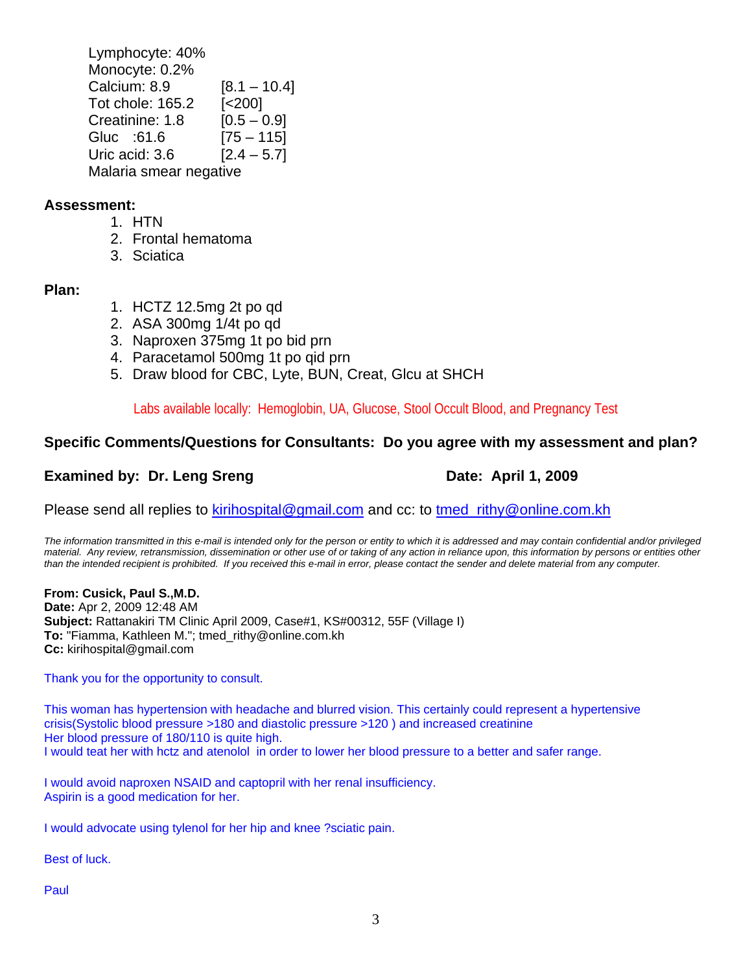Lymphocyte: 40% Monocyte: 0.2% Calcium:  $8.9$  [ $8.1 - 10.4$ ] Tot chole: 165.2 [<200] Creatinine:  $1.8$  [0.5 – 0.9] Gluc :61.6 [75 – 115] Uric acid:  $3.6$  [ $2.4 - 5.7$ ] Malaria smear negative

#### **Assessment:**

- 1. HTN
- 2. Frontal hematoma
- 3. Sciatica

#### **Plan:**

- 1. HCTZ 12.5mg 2t po qd
- 2. ASA 300mg 1/4t po qd
- 3. Naproxen 375mg 1t po bid prn
- 4. Paracetamol 500mg 1t po qid prn
- 5. Draw blood for CBC, Lyte, BUN, Creat, Glcu at SHCH

Labs available locally: Hemoglobin, UA, Glucose, Stool Occult Blood, and Pregnancy Test

#### **Specific Comments/Questions for Consultants: Do you agree with my assessment and plan?**

### **Examined by: Dr. Leng Sreng Date: April 1, 2009**

Please send all replies to kirihospital@gmail.com and cc: to tmed\_rithy@online.com.kh

*The information transmitted in this e-mail is intended only for the person or entity to which it is addressed and may contain confidential and/or privileged material. Any review, retransmission, dissemination or other use of or taking of any action in reliance upon, this information by persons or entities other than the intended recipient is prohibited. If you received this e-mail in error, please contact the sender and delete material from any computer.*

**From: Cusick, Paul S.,M.D.**

**Date:** Apr 2, 2009 12:48 AM **Subject:** Rattanakiri TM Clinic April 2009, Case#1, KS#00312, 55F (Village I) **To:** "Fiamma, Kathleen M."; tmed\_rithy@online.com.kh **Cc:** kirihospital@gmail.com

Thank you for the opportunity to consult.

This woman has hypertension with headache and blurred vision. This certainly could represent a hypertensive crisis(Systolic blood pressure >180 and diastolic pressure >120 ) and increased creatinine Her blood pressure of 180/110 is quite high. I would teat her with hctz and atenolol in order to lower her blood pressure to a better and safer range.

I would avoid naproxen NSAID and captopril with her renal insufficiency. Aspirin is a good medication for her.

I would advocate using tylenol for her hip and knee ?sciatic pain.

Best of luck.

Paul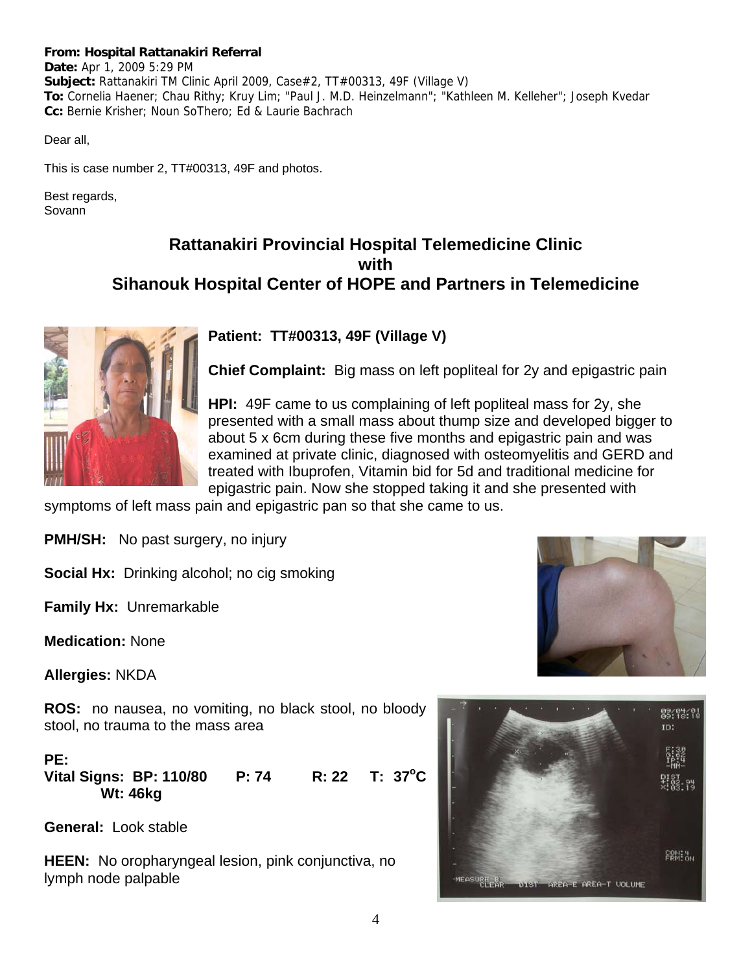#### **From: Hospital Rattanakiri Referral**

**Date:** Apr 1, 2009 5:29 PM **Subject:** Rattanakiri TM Clinic April 2009, Case#2, TT#00313, 49F (Village V) **To:** Cornelia Haener; Chau Rithy; Kruy Lim; "Paul J. M.D. Heinzelmann"; "Kathleen M. Kelleher"; Joseph Kvedar **Cc:** Bernie Krisher; Noun SoThero; Ed & Laurie Bachrach

Dear all,

This is case number 2, TT#00313, 49F and photos.

Best regards, Sovann

### **Rattanakiri Provincial Hospital Telemedicine Clinic with Sihanouk Hospital Center of HOPE and Partners in Telemedicine**



#### **Patient: TT#00313, 49F (Village V)**

**Chief Complaint:** Big mass on left popliteal for 2y and epigastric pain

**HPI:** 49F came to us complaining of left popliteal mass for 2y, she presented with a small mass about thump size and developed bigger to about 5 x 6cm during these five months and epigastric pain and was examined at private clinic, diagnosed with osteomyelitis and GERD and treated with Ibuprofen, Vitamin bid for 5d and traditional medicine for epigastric pain. Now she stopped taking it and she presented with

symptoms of left mass pain and epigastric pan so that she came to us.

**PMH/SH:** No past surgery, no injury

**Social Hx:** Drinking alcohol; no cig smoking

**Family Hx:** Unremarkable

**Medication:** None

**Allergies:** NKDA

**ROS:** no nausea, no vomiting, no black stool, no bloody stool, no trauma to the mass area

**PE: Vital Signs: BP: 110/80 P: 74 R: 22**  $T: 37^{\circ}C$  **Wt: 46kg** 

**General:** Look stable

**HEEN:** No oropharyngeal lesion, pink conjunctiva, no lymph node palpable



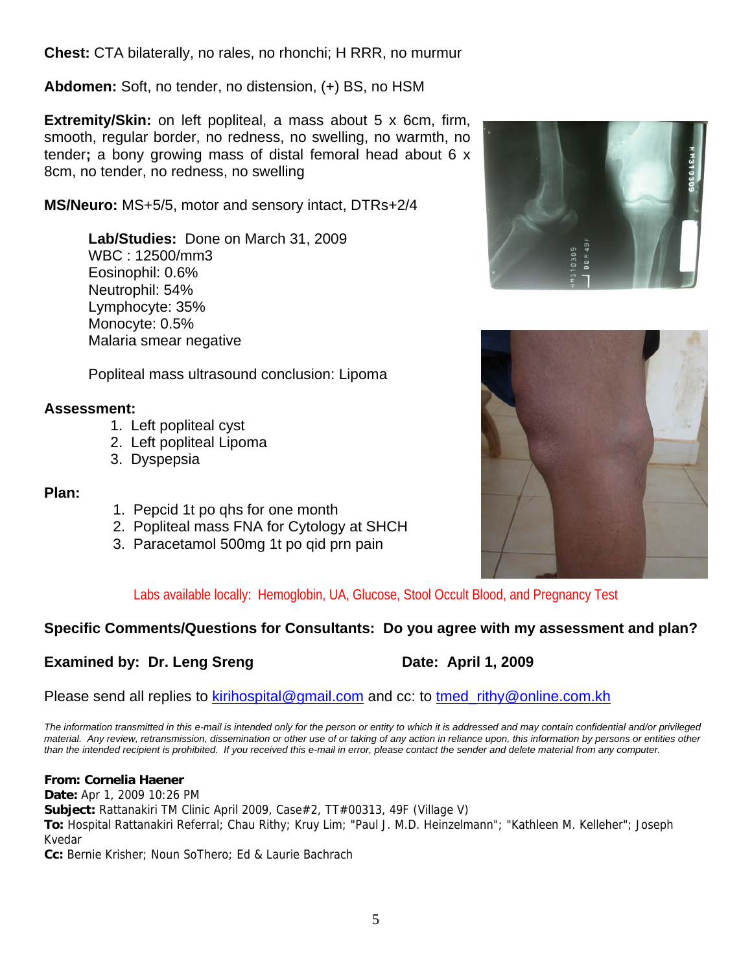**Chest:** CTA bilaterally, no rales, no rhonchi; H RRR, no murmur

**Abdomen:** Soft, no tender, no distension, (+) BS, no HSM

**Extremity/Skin:** on left popliteal, a mass about 5 x 6cm, firm, smooth, regular border, no redness, no swelling, no warmth, no tender**;** a bony growing mass of distal femoral head about 6 x 8cm, no tender, no redness, no swelling

**MS/Neuro:** MS+5/5, motor and sensory intact, DTRs+2/4

**Lab/Studies:** Done on March 31, 2009 WBC : 12500/mm3 Eosinophil: 0.6% Neutrophil: 54% Lymphocyte: 35% Monocyte: 0.5% Malaria smear negative

Popliteal mass ultrasound conclusion: Lipoma

### **Assessment:**

- 1. Left popliteal cyst
- 2. Left popliteal Lipoma
- 3. Dyspepsia

#### **Plan:**

- 1. Pepcid 1t po qhs for one month
- 2. Popliteal mass FNA for Cytology at SHCH
- 3. Paracetamol 500mg 1t po qid prn pain





Labs available locally: Hemoglobin, UA, Glucose, Stool Occult Blood, and Pregnancy Test

### **Specific Comments/Questions for Consultants: Do you agree with my assessment and plan?**

### **Examined by: Dr. Leng Sreng Date: April 1, 2009**

Please send all replies to kirihospital@gmail.com and cc: to tmed rithy@online.com.kh

*The information transmitted in this e-mail is intended only for the person or entity to which it is addressed and may contain confidential and/or privileged material. Any review, retransmission, dissemination or other use of or taking of any action in reliance upon, this information by persons or entities other than the intended recipient is prohibited. If you received this e-mail in error, please contact the sender and delete material from any computer.*

#### **From: Cornelia Haener**

**Date:** Apr 1, 2009 10:26 PM **Subject:** Rattanakiri TM Clinic April 2009, Case#2, TT#00313, 49F (Village V) **To:** Hospital Rattanakiri Referral; Chau Rithy; Kruy Lim; "Paul J. M.D. Heinzelmann"; "Kathleen M. Kelleher"; Joseph Kvedar

**Cc:** Bernie Krisher; Noun SoThero; Ed & Laurie Bachrach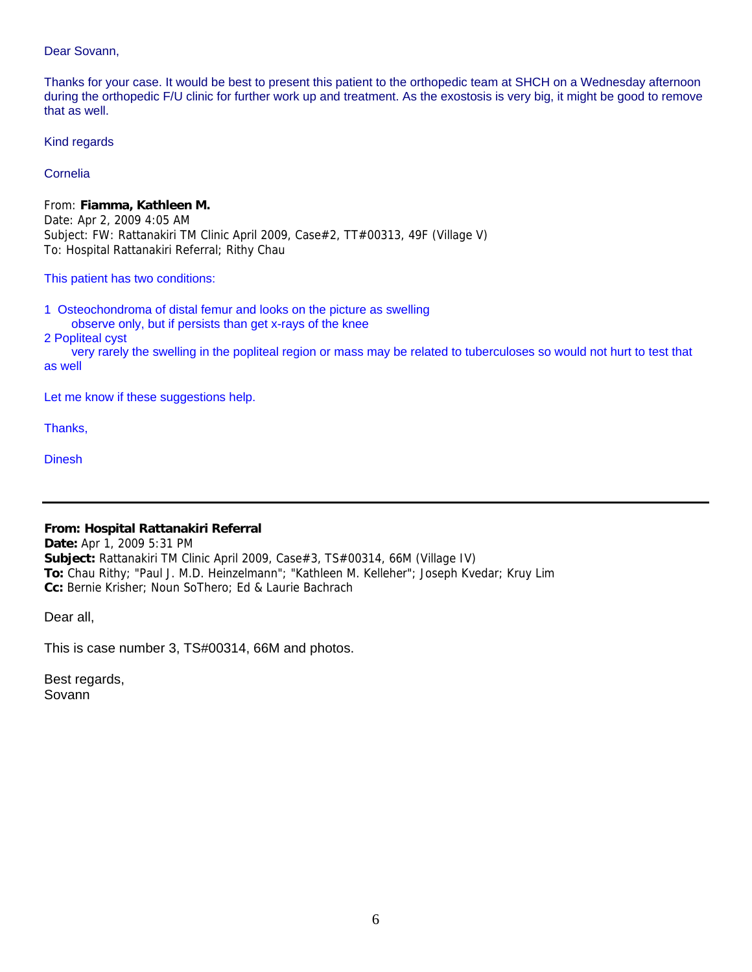Dear Sovann,

Thanks for your case. It would be best to present this patient to the orthopedic team at SHCH on a Wednesday afternoon during the orthopedic F/U clinic for further work up and treatment. As the exostosis is very big, it might be good to remove that as well.

Kind regards

Cornelia

From: **Fiamma, Kathleen M.** Date: Apr 2, 2009 4:05 AM Subject: FW: Rattanakiri TM Clinic April 2009, Case#2, TT#00313, 49F (Village V) To: Hospital Rattanakiri Referral; Rithy Chau

This patient has two conditions:

1 Osteochondroma of distal femur and looks on the picture as swelling observe only, but if persists than get x-rays of the knee

2 Popliteal cyst

 very rarely the swelling in the popliteal region or mass may be related to tuberculoses so would not hurt to test that as well

Let me know if these suggestions help.

Thanks,

**Dinesh** 

#### **From: Hospital Rattanakiri Referral**

**Date:** Apr 1, 2009 5:31 PM **Subject:** Rattanakiri TM Clinic April 2009, Case#3, TS#00314, 66M (Village IV) **To:** Chau Rithy; "Paul J. M.D. Heinzelmann"; "Kathleen M. Kelleher"; Joseph Kvedar; Kruy Lim **Cc:** Bernie Krisher; Noun SoThero; Ed & Laurie Bachrach

Dear all,

This is case number 3, TS#00314, 66M and photos.

Best regards, Sovann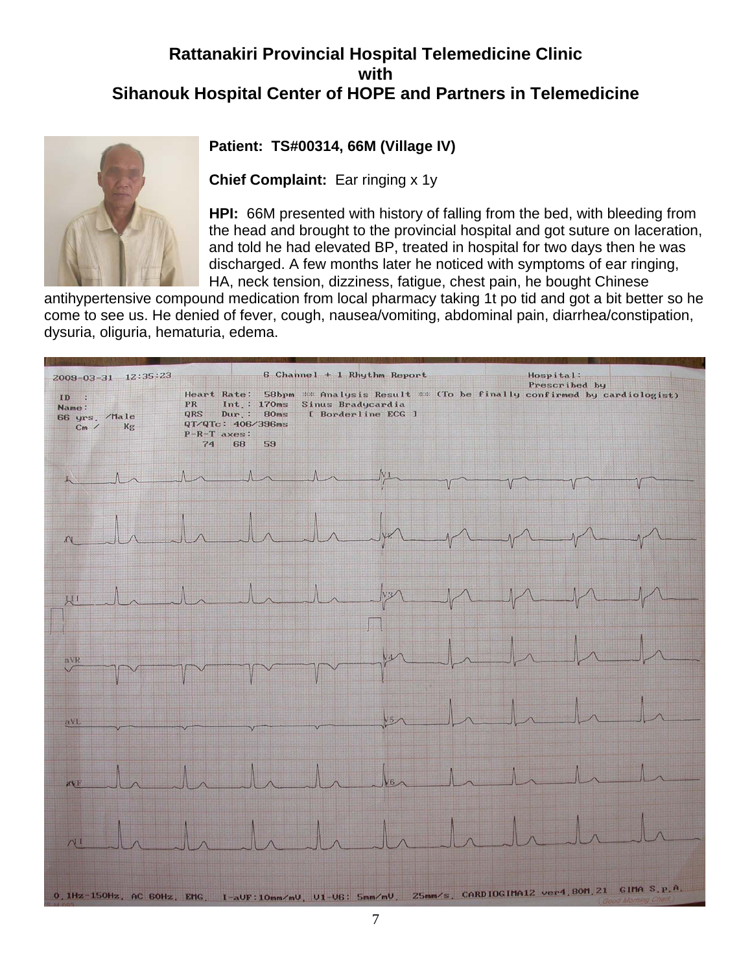## **Rattanakiri Provincial Hospital Telemedicine Clinic with Sihanouk Hospital Center of HOPE and Partners in Telemedicine**



### **Patient: TS#00314, 66M (Village IV)**

**Chief Complaint:** Ear ringing x 1y

**HPI:** 66M presented with history of falling from the bed, with bleeding from the head and brought to the provincial hospital and got suture on laceration, and told he had elevated BP, treated in hospital for two days then he was discharged. A few months later he noticed with symptoms of ear ringing, HA, neck tension, dizziness, fatigue, chest pain, he bought Chinese

antihypertensive compound medication from local pharmacy taking 1t po tid and got a bit better so he come to see us. He denied of fever, cough, nausea/vomiting, abdominal pain, diarrhea/constipation, dysuria, oliguria, hematuria, edema.

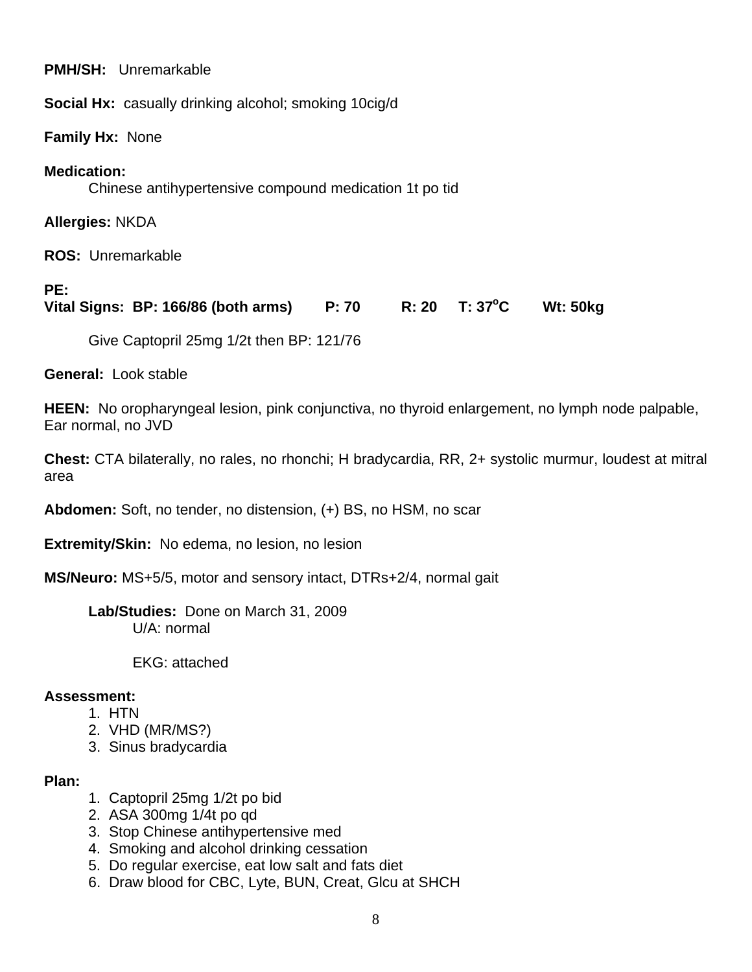**PMH/SH:** Unremarkable

**Social Hx:** casually drinking alcohol; smoking 10cig/d

**Family Hx:** None

### **Medication:**

Chinese antihypertensive compound medication 1t po tid

**Allergies:** NKDA

**ROS:** Unremarkable

### **PE:**

**Vital Signs: BP: 166/86 (both arms) P: 70 R: 20 T: 37 °C C Wt: 50kg** 

Give Captopril 25mg 1/2t then BP: 121/76

**General:** Look stable

**HEEN:** No oropharyngeal lesion, pink conjunctiva, no thyroid enlargement, no lymph node palpable, Ear normal, no JVD

**Chest:** CTA bilaterally, no rales, no rhonchi; H bradycardia, RR, 2+ systolic murmur, loudest at mitral area

**Abdomen:** Soft, no tender, no distension, (+) BS, no HSM, no scar

**Extremity/Skin:** No edema, no lesion, no lesion

**MS/Neuro:** MS+5/5, motor and sensory intact, DTRs+2/4, normal gait

**Lab/Studies:** Done on March 31, 2009 U/A: normal

EKG: attached

### **Assessment:**

- 1. HTN
- 2. VHD (MR/MS?)
- 3. Sinus bradycardia

### **Plan:**

- 1. Captopril 25mg 1/2t po bid
- 2. ASA 300mg 1/4t po qd
- 3. Stop Chinese antihypertensive med
- 4. Smoking and alcohol drinking cessation
- 5. Do regular exercise, eat low salt and fats diet
- 6. Draw blood for CBC, Lyte, BUN, Creat, Glcu at SHCH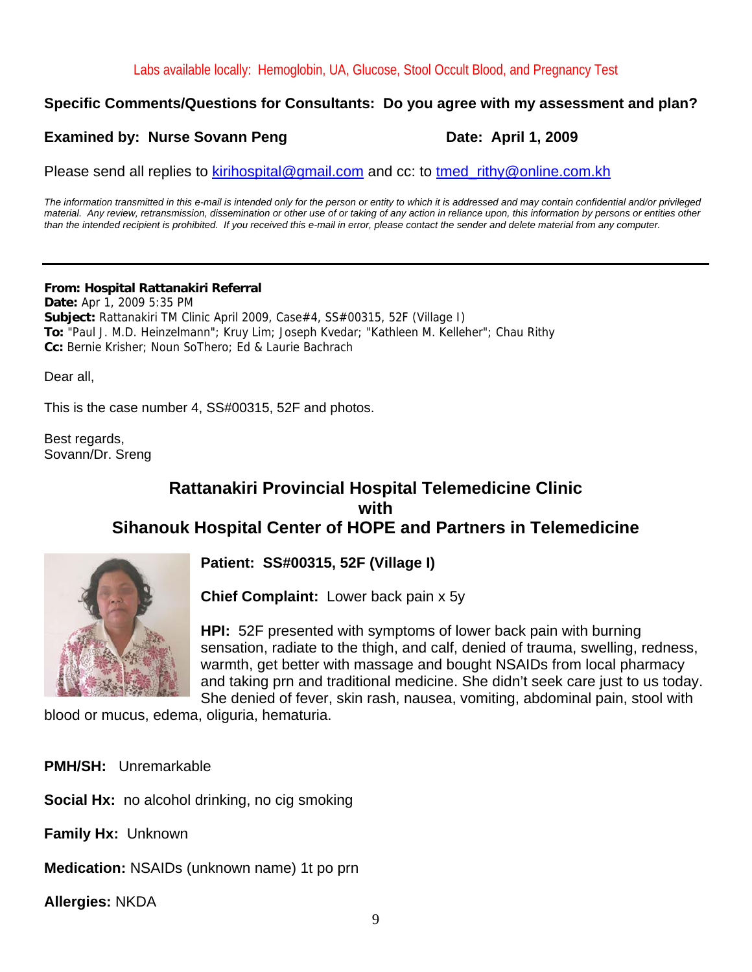### **Specific Comments/Questions for Consultants: Do you agree with my assessment and plan?**

### **Examined by: Nurse Sovann Peng Date: April 1, 2009**

Please send all replies to kirihospital@gmail.com and cc: to tmed\_rithy@online.com.kh

*The information transmitted in this e-mail is intended only for the person or entity to which it is addressed and may contain confidential and/or privileged material. Any review, retransmission, dissemination or other use of or taking of any action in reliance upon, this information by persons or entities other than the intended recipient is prohibited. If you received this e-mail in error, please contact the sender and delete material from any computer.*

#### **From: Hospital Rattanakiri Referral**

**Date:** Apr 1, 2009 5:35 PM **Subject:** Rattanakiri TM Clinic April 2009, Case#4, SS#00315, 52F (Village I) **To:** "Paul J. M.D. Heinzelmann"; Kruy Lim; Joseph Kvedar; "Kathleen M. Kelleher"; Chau Rithy **Cc:** Bernie Krisher; Noun SoThero; Ed & Laurie Bachrach

Dear all,

This is the case number 4, SS#00315, 52F and photos.

Best regards, Sovann/Dr. Sreng

### **Rattanakiri Provincial Hospital Telemedicine Clinic with Sihanouk Hospital Center of HOPE and Partners in Telemedicine**



**Patient: SS#00315, 52F (Village I)**

**Chief Complaint:** Lower back pain x 5y

**HPI:** 52F presented with symptoms of lower back pain with burning sensation, radiate to the thigh, and calf, denied of trauma, swelling, redness, warmth, get better with massage and bought NSAIDs from local pharmacy and taking prn and traditional medicine. She didn't seek care just to us today. She denied of fever, skin rash, nausea, vomiting, abdominal pain, stool with

blood or mucus, edema, oliguria, hematuria.

**PMH/SH:** Unremarkable

**Social Hx:** no alcohol drinking, no cig smoking

**Family Hx:** Unknown

**Medication:** NSAIDs (unknown name) 1t po prn

**Allergies:** NKDA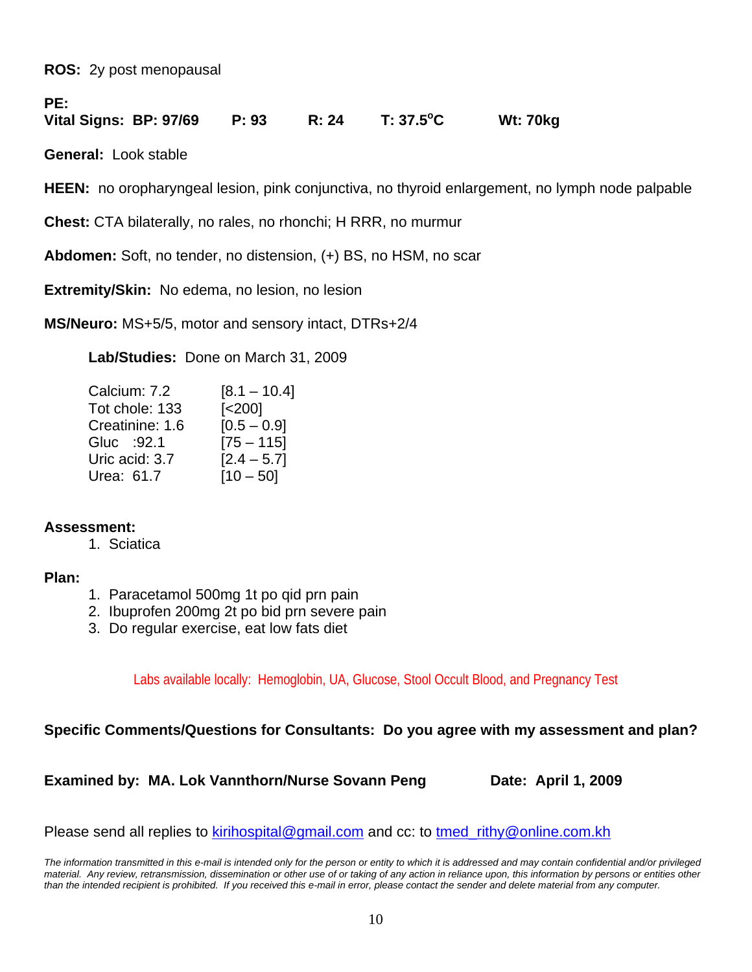**ROS:** 2y post menopausal

**PE:** 

**Vital Signs: BP: 97/69 P: 93 R: 24 T: 37.5o C Wt: 70kg** 

**General:** Look stable

**HEEN:** no oropharyngeal lesion, pink conjunctiva, no thyroid enlargement, no lymph node palpable

**Chest:** CTA bilaterally, no rales, no rhonchi; H RRR, no murmur

**Abdomen:** Soft, no tender, no distension, (+) BS, no HSM, no scar

**Extremity/Skin:** No edema, no lesion, no lesion

**MS/Neuro:** MS+5/5, motor and sensory intact, DTRs+2/4

**Lab/Studies:** Done on March 31, 2009

| Calcium: 7.2    | $[8.1 - 10.4]$     |
|-----------------|--------------------|
| Tot chole: 133  | [ <sub>200</sub> ] |
| Creatinine: 1.6 | $[0.5 - 0.9]$      |
| Gluc : 92.1     | $[75 - 115]$       |
| Uric acid: 3.7  | $[2.4 - 5.7]$      |
| Urea: 61.7      | $[10 - 50]$        |

### **Assessment:**

1. Sciatica

#### **Plan:**

- 1. Paracetamol 500mg 1t po qid prn pain
- 2. Ibuprofen 200mg 2t po bid prn severe pain
- 3. Do regular exercise, eat low fats diet

Labs available locally: Hemoglobin, UA, Glucose, Stool Occult Blood, and Pregnancy Test

#### **Specific Comments/Questions for Consultants: Do you agree with my assessment and plan?**

**Examined by: MA. Lok Vannthorn/Nurse Sovann Peng Date: April 1, 2009** 

Please send all replies to kirihospital@gmail.com and cc: to tmed rithy@online.com.kh

*The information transmitted in this e-mail is intended only for the person or entity to which it is addressed and may contain confidential and/or privileged material. Any review, retransmission, dissemination or other use of or taking of any action in reliance upon, this information by persons or entities other than the intended recipient is prohibited. If you received this e-mail in error, please contact the sender and delete material from any computer.*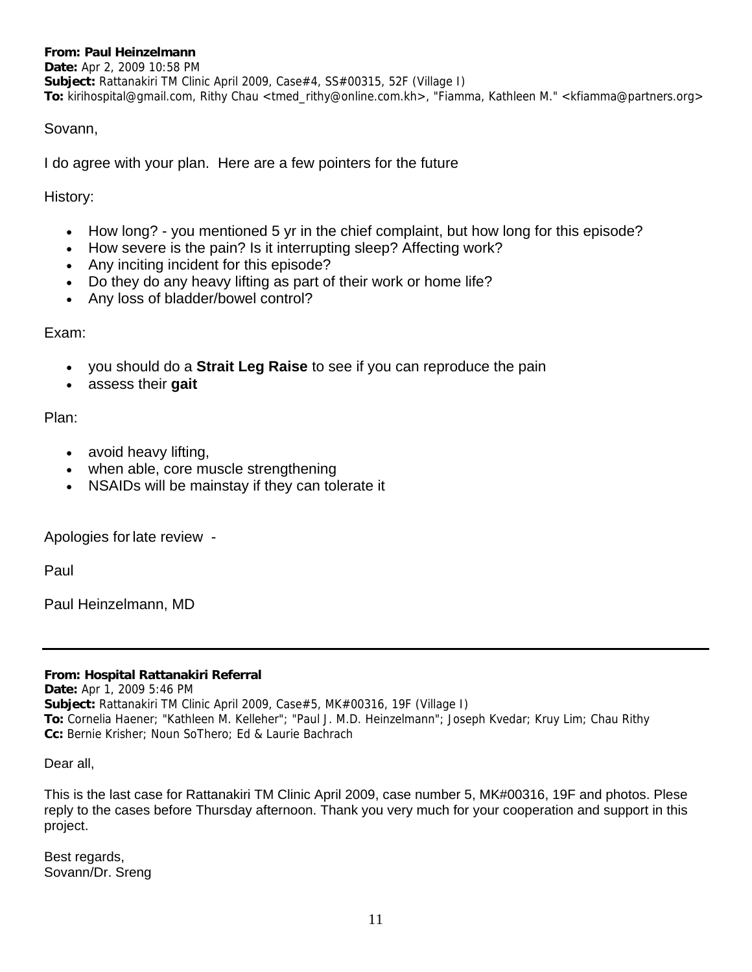#### **From: Paul Heinzelmann**

**Date:** Apr 2, 2009 10:58 PM **Subject:** Rattanakiri TM Clinic April 2009, Case#4, SS#00315, 52F (Village I) **To:** kirihospital@gmail.com, Rithy Chau <tmed\_rithy@online.com.kh>, "Fiamma, Kathleen M." <kfiamma@partners.org>

#### Sovann,

I do agree with your plan. Here are a few pointers for the future

History:

- How long? you mentioned 5 yr in the chief complaint, but how long for this episode?
- How severe is the pain? Is it interrupting sleep? Affecting work?
- Any inciting incident for this episode?
- Do they do any heavy lifting as part of their work or home life?
- Any loss of bladder/bowel control?

#### Exam:

- you should do a **Strait Leg Raise** to see if you can reproduce the pain
- assess their **gait**

Plan:

- avoid heavy lifting,
- when able, core muscle strengthening
- NSAIDs will be mainstay if they can tolerate it

Apologies for late review -

Paul

Paul Heinzelmann, MD

#### **From: Hospital Rattanakiri Referral**

**Date:** Apr 1, 2009 5:46 PM **Subject:** Rattanakiri TM Clinic April 2009, Case#5, MK#00316, 19F (Village I) **To:** Cornelia Haener; "Kathleen M. Kelleher"; "Paul J. M.D. Heinzelmann"; Joseph Kvedar; Kruy Lim; Chau Rithy **Cc:** Bernie Krisher; Noun SoThero; Ed & Laurie Bachrach

Dear all,

This is the last case for Rattanakiri TM Clinic April 2009, case number 5, MK#00316, 19F and photos. Plese reply to the cases before Thursday afternoon. Thank you very much for your cooperation and support in this project.

Best regards, Sovann/Dr. Sreng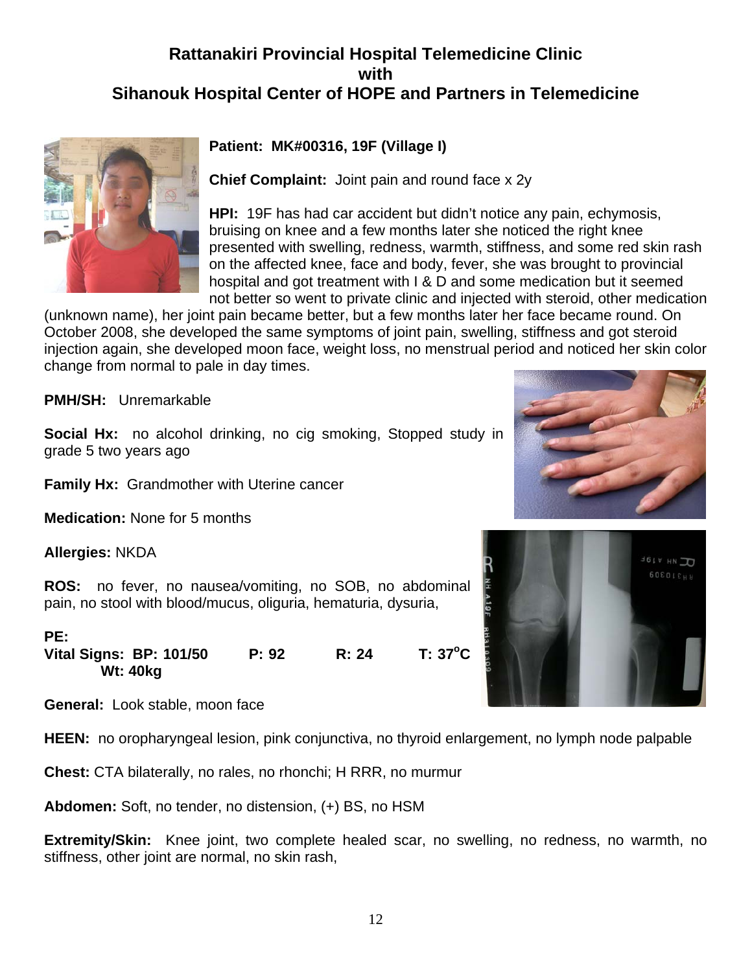### **Rattanakiri Provincial Hospital Telemedicine Clinic with Sihanouk Hospital Center of HOPE and Partners in Telemedicine**



### **Patient: MK#00316, 19F (Village I)**

**Chief Complaint:** Joint pain and round face x 2y

**HPI:** 19F has had car accident but didn't notice any pain, echymosis, bruising on knee and a few months later she noticed the right knee presented with swelling, redness, warmth, stiffness, and some red skin rash on the affected knee, face and body, fever, she was brought to provincial hospital and got treatment with I & D and some medication but it seemed not better so went to private clinic and injected with steroid, other medication

(unknown name), her joint pain became better, but a few months later her face became round. On October 2008, she developed the same symptoms of joint pain, swelling, stiffness and got steroid injection again, she developed moon face, weight loss, no menstrual period and noticed her skin color change from normal to pale in day times.

**PMH/SH:** Unremarkable

**Social Hx:** no alcohol drinking, no cig smoking, Stopped study in grade 5 two years ago

**Family Hx:** Grandmother with Uterine cancer

**Medication:** None for 5 months

**Allergies:** NKDA

**ROS:** no fever, no nausea/vomiting, no SOB, no abdominal pain, no stool with blood/mucus, oliguria, hematuria, dysuria,

**PE: Vital Signs: BP: 101/50 P: 92 R: 24**  $T: 37^{\circ}C$  **Wt: 40kg** 

**General:** Look stable, moon face

**HEEN:** no oropharyngeal lesion, pink conjunctiva, no thyroid enlargement, no lymph node palpable

**Chest:** CTA bilaterally, no rales, no rhonchi; H RRR, no murmur

**Abdomen:** Soft, no tender, no distension, (+) BS, no HSM

**Extremity/Skin:** Knee joint, two complete healed scar, no swelling, no redness, no warmth, no stiffness, other joint are normal, no skin rash,



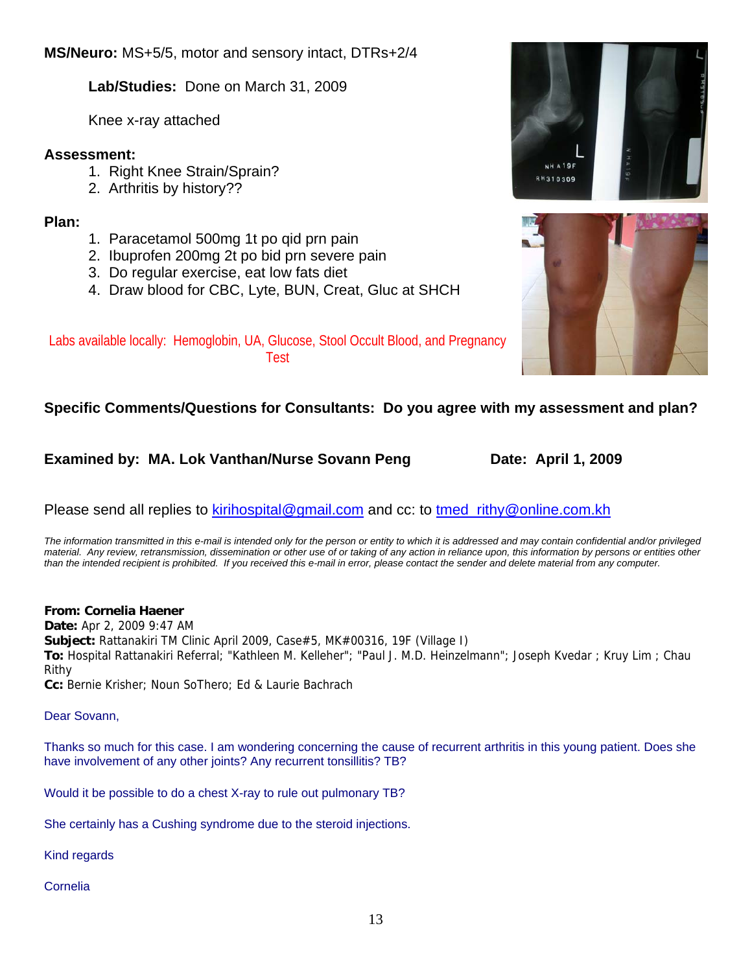**Lab/Studies:** Done on March 31, 2009

Knee x-ray attached

### **Assessment:**

- 1. Right Knee Strain/Sprain?
- 2. Arthritis by history??

### **Plan:**

- 1. Paracetamol 500mg 1t po qid prn pain
- 2. Ibuprofen 200mg 2t po bid prn severe pain
- 3. Do regular exercise, eat low fats diet
- 4. Draw blood for CBC, Lyte, BUN, Creat, Gluc at SHCH



### Labs available locally: Hemoglobin, UA, Glucose, Stool Occult Blood, and Pregnancy Test

### **Specific Comments/Questions for Consultants: Do you agree with my assessment and plan?**

### **Examined by: MA. Lok Vanthan/Nurse Sovann Peng Date: April 1, 2009**

Please send all replies to kirihospital@gmail.com and cc: to tmed rithy@online.com.kh

*The information transmitted in this e-mail is intended only for the person or entity to which it is addressed and may contain confidential and/or privileged material. Any review, retransmission, dissemination or other use of or taking of any action in reliance upon, this information by persons or entities other than the intended recipient is prohibited. If you received this e-mail in error, please contact the sender and delete material from any computer.*

### **From: Cornelia Haener**

**Date:** Apr 2, 2009 9:47 AM

**Subject:** Rattanakiri TM Clinic April 2009, Case#5, MK#00316, 19F (Village I)

**To:** Hospital Rattanakiri Referral; "Kathleen M. Kelleher"; "Paul J. M.D. Heinzelmann"; Joseph Kvedar ; Kruy Lim ; Chau Rithy

**Cc:** Bernie Krisher; Noun SoThero; Ed & Laurie Bachrach

### Dear Sovann,

Thanks so much for this case. I am wondering concerning the cause of recurrent arthritis in this young patient. Does she have involvement of any other joints? Any recurrent tonsillitis? TB?

Would it be possible to do a chest X-ray to rule out pulmonary TB?

She certainly has a Cushing syndrome due to the steroid injections.

Kind regards

Cornelia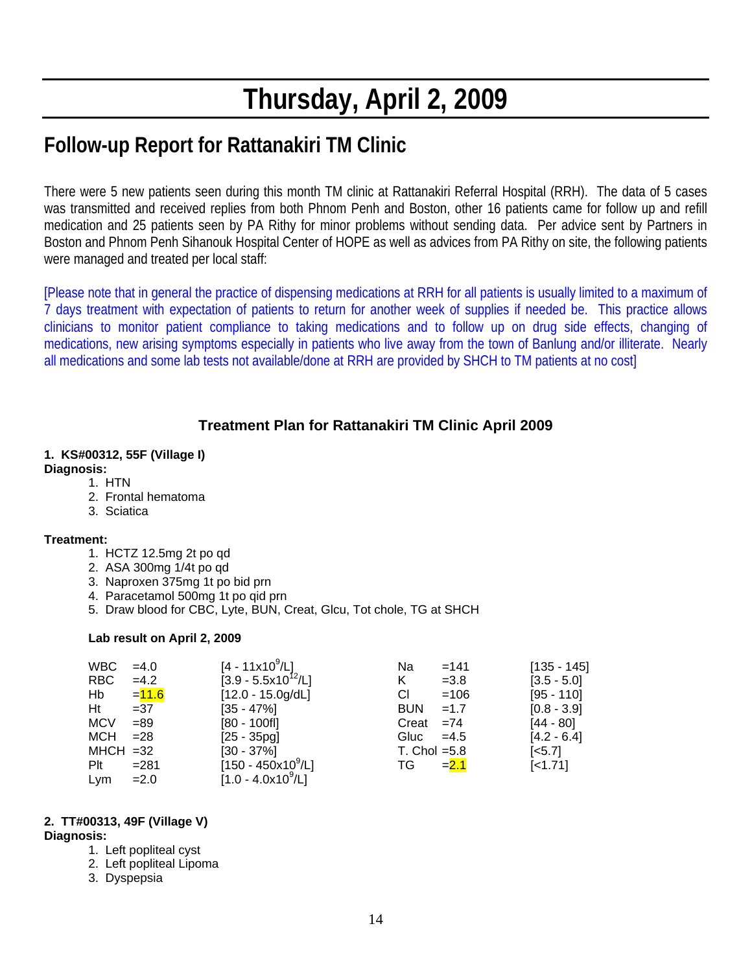# **Thursday, April 2, 2009**

# **Follow-up Report for Rattanakiri TM Clinic**

There were 5 new patients seen during this month TM clinic at Rattanakiri Referral Hospital (RRH). The data of 5 cases was transmitted and received replies from both Phnom Penh and Boston, other 16 patients came for follow up and refill medication and 25 patients seen by PA Rithy for minor problems without sending data. Per advice sent by Partners in Boston and Phnom Penh Sihanouk Hospital Center of HOPE as well as advices from PA Rithy on site, the following patients were managed and treated per local staff:

[Please note that in general the practice of dispensing medications at RRH for all patients is usually limited to a maximum of 7 days treatment with expectation of patients to return for another week of supplies if needed be. This practice allows clinicians to monitor patient compliance to taking medications and to follow up on drug side effects, changing of medications, new arising symptoms especially in patients who live away from the town of Banlung and/or illiterate. Nearly all medications and some lab tests not available/done at RRH are provided by SHCH to TM patients at no cost]

### **Treatment Plan for Rattanakiri TM Clinic April 2009**

#### **1. KS#00312, 55F (Village I) Diagnosis:**

- 1. HTN
- 2. Frontal hematoma
- 3. Sciatica

#### **Treatment:**

- 1. HCTZ 12.5mg 2t po qd
- 2. ASA 300mg 1/4t po qd
- 3. Naproxen 375mg 1t po bid prn
- 4. Paracetamol 500mg 1t po qid prn
- 5. Draw blood for CBC, Lyte, BUN, Creat, Glcu, Tot chole, TG at SHCH

#### **Lab result on April 2, 2009**

| WBC         | $=4.0$   | [4 - 11x10 <sup>9</sup> /L] | Na             | $=141$  | $[135 - 145]$         |
|-------------|----------|-----------------------------|----------------|---------|-----------------------|
| RBC         | $=4.2$   | $[3.9 - 5.5x10^{12}/L]$     | K              | $=3.8$  | $[3.5 - 5.0]$         |
| Hb          | $= 11.6$ | $[12.0 - 15.0g/dL]$         | СI             | $=106$  | $[95 - 110]$          |
| Ht          | $=37$    | $[35 - 47\%]$               | <b>BUN</b>     | $=1.7$  | $[0.8 - 3.9]$         |
| <b>MCV</b>  | $=89$    | $[80 - 100$ fl]             | Creat $=74$    |         | $[44 - 80]$           |
| MCH         | $= 28$   | $[25 - 35pg]$               | Gluc $=4.5$    |         | $[4.2 - 6.4]$         |
| $MHCH = 32$ |          | $[30 - 37\%]$               | T. Chol $=5.8$ |         | $\left[ <5.7 \right]$ |
| Plt         | $= 281$  | $[150 - 450x10^9/L]$        | TG             | $= 2.1$ | $[-1.71]$             |
| Lym         | $=2.0$   | $[1.0 - 4.0x10^9/L]$        |                |         |                       |

#### **2. TT#00313, 49F (Village V)**

#### **Diagnosis:**

- 1. Left popliteal cyst
- 2. Left popliteal Lipoma
- 3. Dyspepsia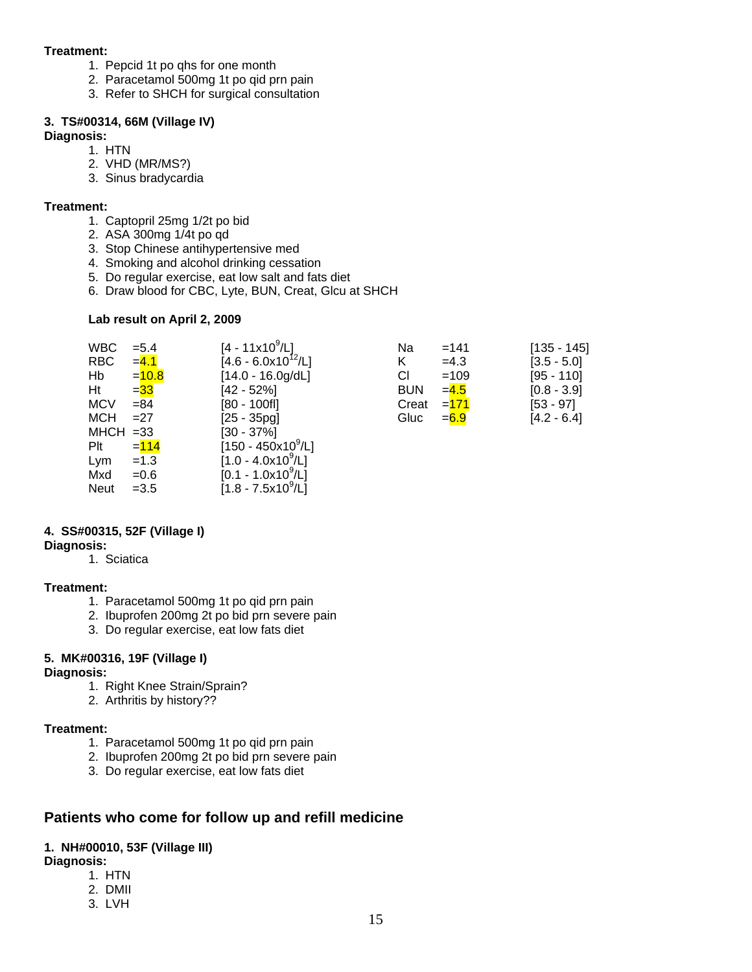#### **Treatment:**

- 1. Pepcid 1t po qhs for one month
- 2. Paracetamol 500mg 1t po qid prn pain
- 3. Refer to SHCH for surgical consultation

#### **3. TS#00314, 66M (Village IV)**

#### **Diagnosis:**

- 1. HTN
	- 2. VHD (MR/MS?)
	- 3. Sinus bradycardia

#### **Treatment:**

- 1. Captopril 25mg 1/2t po bid
- 2. ASA 300mg 1/4t po qd
- 3. Stop Chinese antihypertensive med
- 4. Smoking and alcohol drinking cessation
- 5. Do regular exercise, eat low salt and fats diet
- 6. Draw blood for CBC, Lyte, BUN, Creat, Glcu at SHCH

#### **Lab result on April 2, 2009**

| WBC         | $= 5.4$ | $[4 - 11x10^9/L]$                  | Na         | $=141$  | $[135 - 145]$ |
|-------------|---------|------------------------------------|------------|---------|---------------|
| <b>RBC</b>  | $= 4.1$ | $[4.6 - 6.0x10^{12}/L]$            | Κ          | $=4.3$  | $[3.5 - 5.0]$ |
| Hb          | $=10.8$ | $[14.0 - 16.0g/dL]$                | СI         | $=109$  | $[95 - 110]$  |
| Ht          | $= 33$  | $[42 - 52%]$                       | <b>BUN</b> | $= 4.5$ | $[0.8 - 3.9]$ |
| <b>MCV</b>  | $= 84$  | $[80 - 100$ fl]                    | Creat      | $= 171$ | $[53 - 97]$   |
| <b>MCH</b>  | $=27$   | $[25 - 35pg]$                      | Gluc       | $= 6.9$ | $[4.2 - 6.4]$ |
| $MHCH = 33$ |         | $[30 - 37\%]$                      |            |         |               |
| Plt         | $= 114$ | $[150 - 450 \times 10^9/\text{L}]$ |            |         |               |
| Lym         | $=1.3$  | $[1.0 - 4.0x10^9/L]$               |            |         |               |
| Mxd         | $=0.6$  | $[0.1 - 1.0x10^9/L]$               |            |         |               |
| <b>Neut</b> | $=3.5$  | $[1.8 - 7.5x10^9/L]$               |            |         |               |

#### **4. SS#00315, 52F (Village I)**

**Diagnosis:** 

#### 1. Sciatica

#### **Treatment:**

- 1. Paracetamol 500mg 1t po qid prn pain
- 2. Ibuprofen 200mg 2t po bid prn severe pain
- 3. Do regular exercise, eat low fats diet

#### **5. MK#00316, 19F (Village I)**

#### **Diagnosis:**

- 1. Right Knee Strain/Sprain?
- 2. Arthritis by history??

#### **Treatment:**

- 1. Paracetamol 500mg 1t po qid prn pain
- 2. Ibuprofen 200mg 2t po bid prn severe pain
- 3. Do regular exercise, eat low fats diet

### **Patients who come for follow up and refill medicine**

#### **1. NH#00010, 53F (Village III)**

#### **Diagnosis:**

- 1. HTN
- 2. DMII
- 3. LVH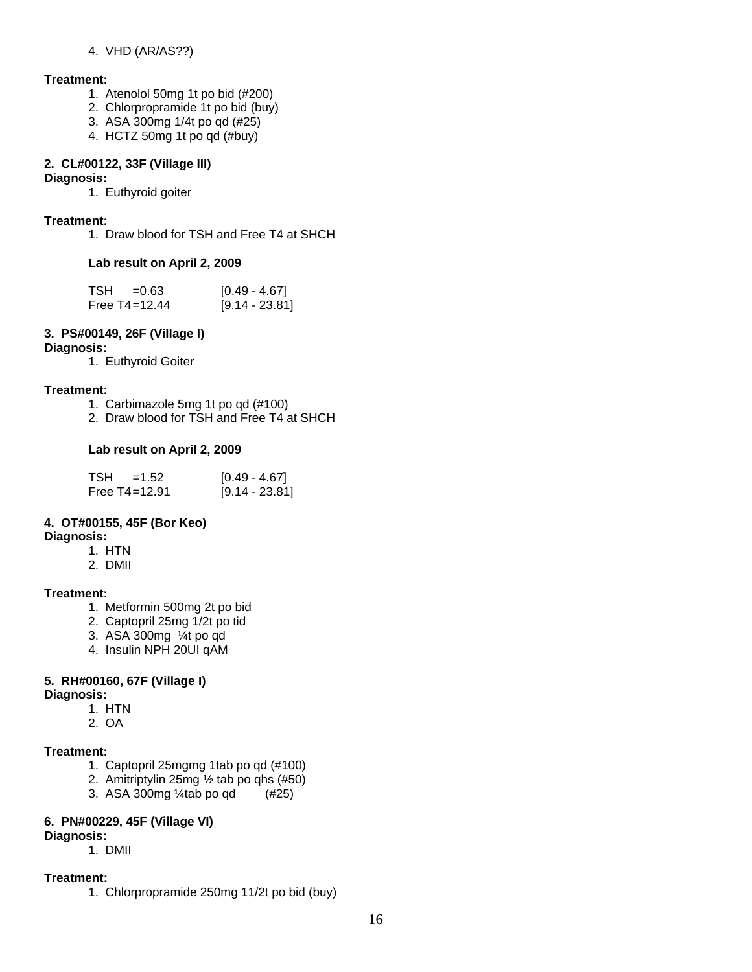#### 4. VHD (AR/AS??)

#### **Treatment:**

- 1. Atenolol 50mg 1t po bid (#200)
- 2. Chlorpropramide 1t po bid (buy)
- 3. ASA 300mg 1/4t po qd (#25)
- 4. HCTZ 50mg 1t po qd (#buy)

### **2. CL#00122, 33F (Village III)**

#### **Diagnosis:**

1. Euthyroid goiter

#### **Treatment:**

1. Draw blood for TSH and Free T4 at SHCH

#### **Lab result on April 2, 2009**

| TSH =0.63         | $[0.49 - 4.67]$  |
|-------------------|------------------|
| Free $T4 = 12.44$ | $[9.14 - 23.81]$ |

#### **3. PS#00149, 26F (Village I)**

#### **Diagnosis:**

1. Euthyroid Goiter

#### **Treatment:**

- 1. Carbimazole 5mg 1t po qd (#100)
- 2. Draw blood for TSH and Free T4 at SHCH

#### **Lab result on April 2, 2009**

| $TSH = 1.52$      | $[0.49 - 4.67]$  |
|-------------------|------------------|
| Free $T4 = 12.91$ | $[9.14 - 23.81]$ |

#### **4. OT#00155, 45F (Bor Keo)**

#### **Diagnosis:**

- 1. HTN
- 2. DMII

#### **Treatment:**

- 1. Metformin 500mg 2t po bid
- 2. Captopril 25mg 1/2t po tid
- 3. ASA 300mg ¼t po qd
- 4. Insulin NPH 20UI qAM

#### **5. RH#00160, 67F (Village I)**

#### **Diagnosis:**

- 1. HTN
- 2. OA

#### **Treatment:**

- 1. Captopril 25mgmg 1tab po qd (#100)
- 2. Amitriptylin 25mg ½ tab po qhs (#50)
- 3. ASA 300mg ¼tab po qd (#25)

#### **6. PN#00229, 45F (Village VI)**

#### **Diagnosis:**

1. DMII

#### **Treatment:**

1. Chlorpropramide 250mg 11/2t po bid (buy)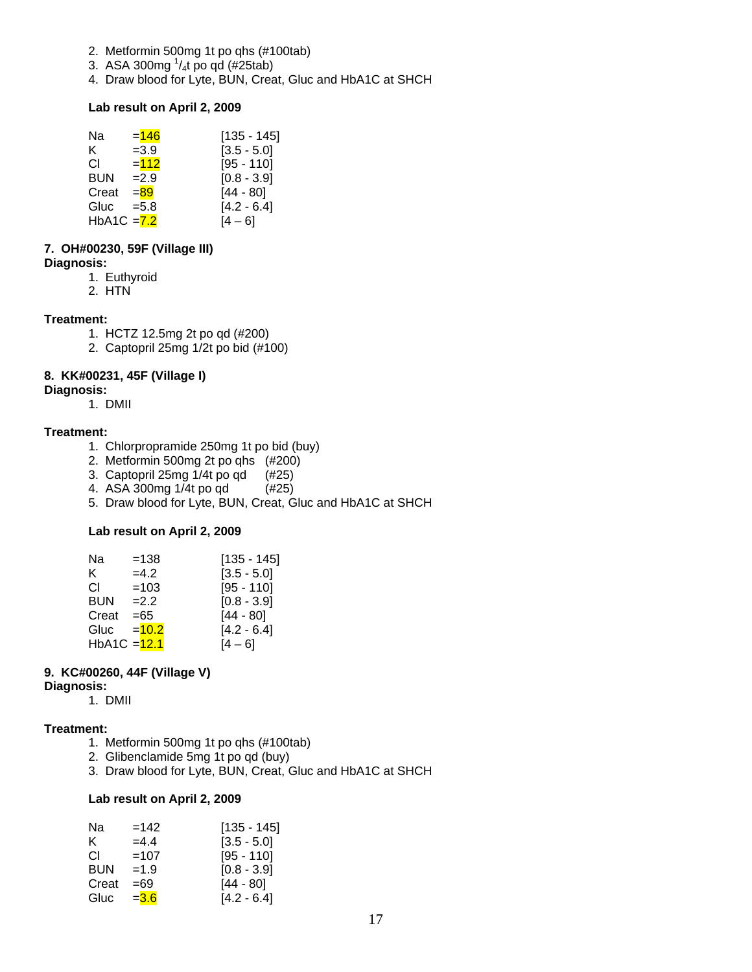- 2. Metformin 500mg 1t po qhs (#100tab)
- 3. ASA 300mg  $\frac{1}{4}$ t po qd (#25tab)
- 4. Draw blood for Lyte, BUN, Creat, Gluc and HbA1C at SHCH

#### **Lab result on April 2, 2009**

| Na            | $= 146$ | $[135 - 145]$ |
|---------------|---------|---------------|
| K.            | $=3.9$  | $[3.5 - 5.0]$ |
| СI            | $= 112$ | $[95 - 110]$  |
| <b>BUN</b>    | $=2.9$  | $[0.8 - 3.9]$ |
| Creat         | $= 89$  | $[44 - 80]$   |
| Gluc          | $= 5.8$ | $[4.2 - 6.4]$ |
| HbA1C $= 7.2$ |         | 14 – 61       |

#### **7. OH#00230, 59F (Village III)**

**Diagnosis:**

- 1. Euthyroid
- 2. HTN

#### **Treatment:**

- 1. HCTZ 12.5mg 2t po qd (#200)
- 2. Captopril 25mg 1/2t po bid (#100)

#### **8. KK#00231, 45F (Village I)**

#### **Diagnosis:**

1. DMII

#### **Treatment:**

- 1. Chlorpropramide 250mg 1t po bid (buy)
- 2. Metformin 500mg 2t po qhs (#200)
- 3. Captopril 25mg 1/4t po qd (#25)
- 4. ASA 300mg 1/4t po qd (#25)
- 5. Draw blood for Lyte, BUN, Creat, Gluc and HbA1C at SHCH

#### **Lab result on April 2, 2009**

| Na             | $=138$  | $[135 - 145]$ |
|----------------|---------|---------------|
| ĸ.             | $=4.2$  | $[3.5 - 5.0]$ |
| СI             | $=103$  | $[95 - 110]$  |
| <b>BUN</b>     | $=2.2$  | $[0.8 - 3.9]$ |
| Creat          | $= 65$  | $[44 - 80]$   |
| Gluc           | $=10.2$ | $[4.2 - 6.4]$ |
| $HbA1C = 12.1$ |         | [4 – 6]       |

#### **9. KC#00260, 44F (Village V)**

#### **Diagnosis:**

1. DMII

#### **Treatment:**

- 1. Metformin 500mg 1t po qhs (#100tab)
- 2. Glibenclamide 5mg 1t po qd (buy)
- 3. Draw blood for Lyte, BUN, Creat, Gluc and HbA1C at SHCH

#### **Lab result on April 2, 2009**

| Na         | $=142$  | $[135 - 145]$ |
|------------|---------|---------------|
| ĸ.         | $=4.4$  | $[3.5 - 5.0]$ |
| CL.        | $=107$  | $[95 - 110]$  |
| <b>BUN</b> | $=1.9$  | $[0.8 - 3.9]$ |
| Creat      | $=69$   | $[44 - 80]$   |
| Gluc       | $= 3.6$ | $[4.2 - 6.4]$ |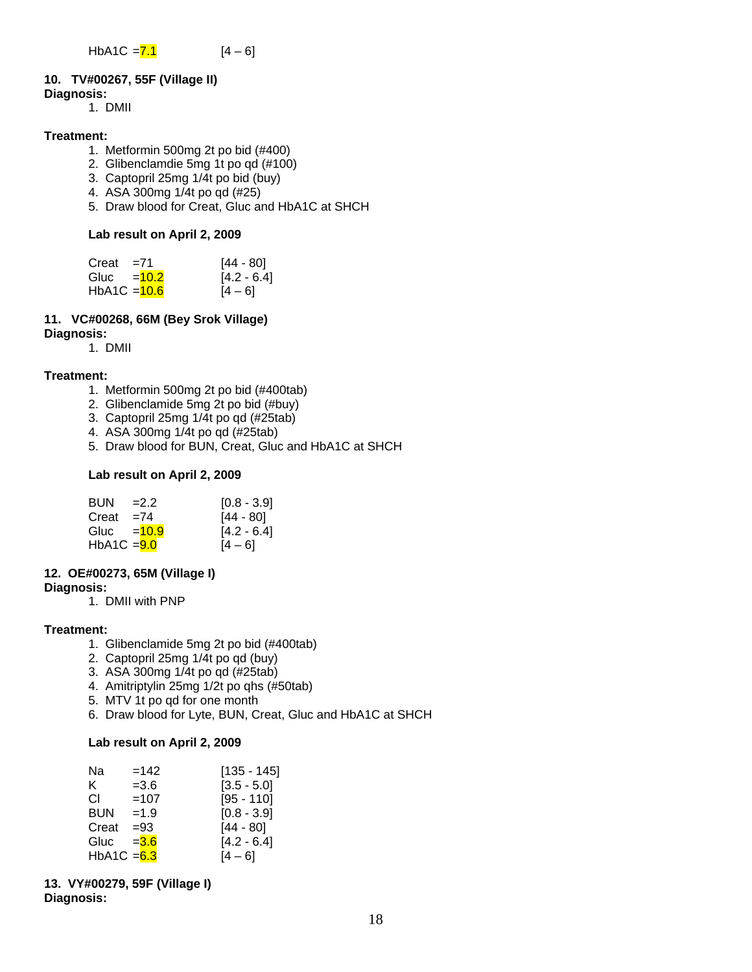#### **10. TV#00267, 55F (Village II)**

#### **Diagnosis:**

1. DMII

#### **Treatment:**

- 1. Metformin 500mg 2t po bid (#400)
- 2. Glibenclamdie 5mg 1t po qd (#100)
- 3. Captopril 25mg 1/4t po bid (buy)
- 4. ASA 300mg 1/4t po qd (#25)
- 5. Draw blood for Creat, Gluc and HbA1C at SHCH

#### **Lab result on April 2, 2009**

| $Creat = 71$   | $[44 - 80]$   |
|----------------|---------------|
| Gluc $=$ 10.2  | $[4.2 - 6.4]$ |
| $HbA1C = 10.6$ | $[4 - 6]$     |

### **11. VC#00268, 66M (Bey Srok Village)**

**Diagnosis:**

1. DMII

#### **Treatment:**

- 1. Metformin 500mg 2t po bid (#400tab)
- 2. Glibenclamide 5mg 2t po bid (#buy)
- 3. Captopril 25mg 1/4t po qd (#25tab)
- 4. ASA 300mg 1/4t po qd (#25tab)
- 5. Draw blood for BUN, Creat, Gluc and HbA1C at SHCH

#### **Lab result on April 2, 2009**

| <b>BUN</b>                | $=2.2$ | $[0.8 - 3.9]$ |
|---------------------------|--------|---------------|
| Creat $=74$               |        | $[44 - 80]$   |
| Gluc $=$ $\frac{10.9}{ }$ |        | $[4.2 - 6.4]$ |
| $HbA1C = 9.0$             |        | $[4 - 6]$     |

#### **12. OE#00273, 65M (Village I)**

**Diagnosis:**

1. DMII with PNP

#### **Treatment:**

- 1. Glibenclamide 5mg 2t po bid (#400tab)
- 2. Captopril 25mg 1/4t po qd (buy)
- 3. ASA 300mg 1/4t po qd (#25tab)
- 4. Amitriptylin 25mg 1/2t po qhs (#50tab)
- 5. MTV 1t po qd for one month
- 6. Draw blood for Lyte, BUN, Creat, Gluc and HbA1C at SHCH

#### **Lab result on April 2, 2009**

| Na            | $=142$  | $[135 - 145]$ |
|---------------|---------|---------------|
| K.            | $= 3.6$ | $[3.5 - 5.0]$ |
| СL            | $=107$  | $[95 - 110]$  |
| <b>BUN</b>    | $=1.9$  | $[0.8 - 3.9]$ |
| Creat         | $= 93$  | $[44 - 80]$   |
| Gluc          | $= 3.6$ | $[4.2 - 6.4]$ |
| HbA1C $= 6.3$ |         | [4 – 6]       |

**13. VY#00279, 59F (Village I) Diagnosis:**